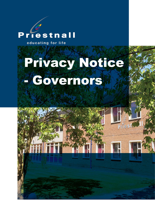# riestnall D

educating for life

# Privacy Notice - Governors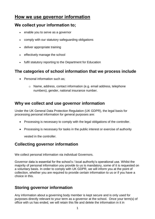# **How we use governor information**

## **We collect your information to;**

- enable you to serve as a governor
- comply with our statutory safeguarding obligations
- deliver appropriate training
- effectively manage the school
- fulfil statutory reporting to the Department for Education

# **The categories of school information that we process include**

- Personal information such as:
	- o Name, address, contact information (e.g. email address, telephone numbers), gender, national insurance number.

# **Why we collect and use governor information**

Under the UK General Data Protection Regulation (UK GDPR), the legal basis for processing personal information for general purposes are:

- Processing is necessary to comply with the legal obligations of the controller.
- Processing is necessary for tasks in the public interest or exercise of authority

vested in the controller.

# **Collecting governor information**

We collect personal information via individual Governors.

Governor data is essential for the school's / local authority's operational use. Whilst the majority of personal information you provide to us is mandatory, some of it is requested on a voluntary basis. In order to comply with UK GDPR, we will inform you at the point of collection, whether you are required to provide certain information to us or if you have a choice in this.

# **Storing governor information**

Any information about a governing body member is kept secure and is only used for purposes directly relevant to your term as a governor at the school. Once your term(s) of office with us has ended, we will retain this file and delete the information in it in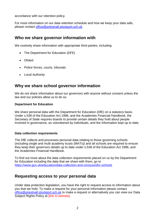accordance with our retention policy.

For more information on our data retention schedule and how we keep your data safe, please contact [office@priestnall.stockport.sch.uk](mailto:office@priestnall.stockport.sch.uk)

#### **Who we share governor information with**

We routinely share information with appropriate third parties, including:

- The Department for Education (DFE)
- Ofsted
- Police forces, courts, tribunals
- Local Authority

### **Why we share school governor information**

We do not share information about our governors with anyone without consent unless the law and our policies allow us to do so.

#### **Department for Education**

We share personal data with the Department for Education (DfE) on a statutory basis. Under s.538 of the Education Act 1996, and the Academies Financial Handbook, the Secretary of State requires boards to provide certain details they hold about people involved in governance, as volunteered by individuals, and the information kept up to date.

#### **Data collection requirements**

The DfE collects and processes personal data relating to those governing schools (including single and multi academy trusts (MATs)) and all schools are required to ensure they keep their governors details up to date under s.538 of the Education Act 1996, and the Academies Financial Handbook.

To find out more about the data collection requirements placed on us by the Department for Education including the data that we share with them, go to <https://www.gov.uk/education/data-collection-and-censusesfor-schools>

## **Requesting access to your personal data**

Under data protection legislation, you have the right to request access to information about you that we hold. To make a request for your personal information please contact [office@priestnall.stockport.sch.uk](mailto:office@priestnall.stockport.sch.uk) to make a request or alternatively you can view our Data Subject Rights Policy at *Ilink* to website].